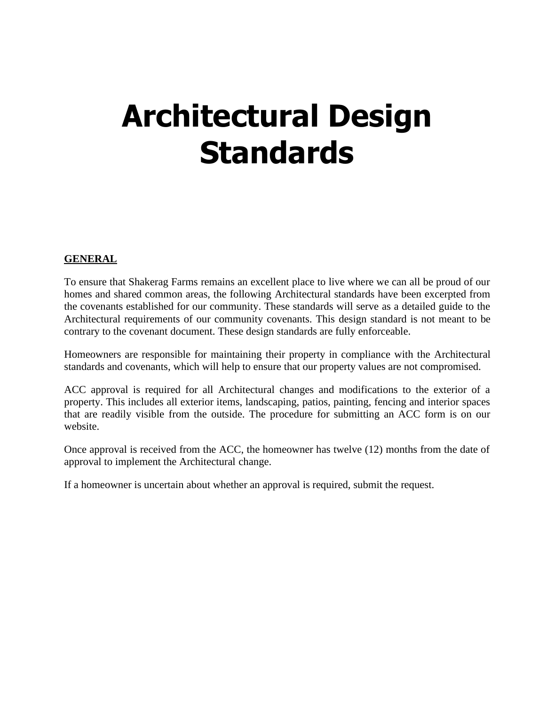# **Architectural Design Standards**

## **GENERAL**

To ensure that Shakerag Farms remains an excellent place to live where we can all be proud of our homes and shared common areas, the following Architectural standards have been excerpted from the covenants established for our community. These standards will serve as a detailed guide to the Architectural requirements of our community covenants. This design standard is not meant to be contrary to the covenant document. These design standards are fully enforceable.

Homeowners are responsible for maintaining their property in compliance with the Architectural standards and covenants, which will help to ensure that our property values are not compromised.

ACC approval is required for all Architectural changes and modifications to the exterior of a property. This includes all exterior items, landscaping, patios, painting, fencing and interior spaces that are readily visible from the outside. The procedure for submitting an ACC form is on our website.

Once approval is received from the ACC, the homeowner has twelve (12) months from the date of approval to implement the Architectural change.

If a homeowner is uncertain about whether an approval is required, submit the request.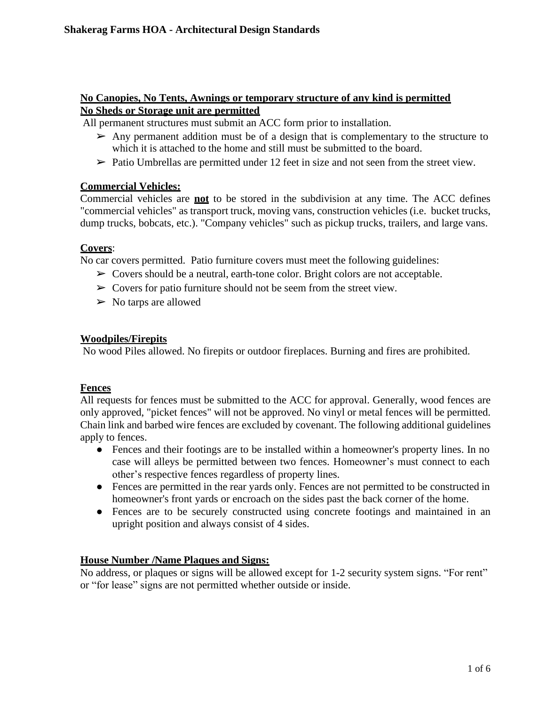## **No Canopies, No Tents, Awnings or temporary structure of any kind is permitted No Sheds or Storage unit are permitted**

All permanent structures must submit an ACC form prior to installation.

- $\triangleright$  Any permanent addition must be of a design that is complementary to the structure to which it is attached to the home and still must be submitted to the board.
- $\triangleright$  Patio Umbrellas are permitted under 12 feet in size and not seen from the street view.

## **Commercial Vehicles:**

Commercial vehicles are **not** to be stored in the subdivision at any time. The ACC defines "commercial vehicles" as transport truck, moving vans, construction vehicles (i.e. bucket trucks, dump trucks, bobcats, etc.). "Company vehicles" such as pickup trucks, trailers, and large vans.

## **Covers**:

No car covers permitted. Patio furniture covers must meet the following guidelines:

- $\triangleright$  Covers should be a neutral, earth-tone color. Bright colors are not acceptable.
- $\triangleright$  Covers for patio furniture should not be seem from the street view.
- $\triangleright$  No tarps are allowed

## **Woodpiles/Firepits**

No wood Piles allowed. No firepits or outdoor fireplaces. Burning and fires are prohibited.

## **Fences**

All requests for fences must be submitted to the ACC for approval. Generally, wood fences are only approved, "picket fences" will not be approved. No vinyl or metal fences will be permitted. Chain link and barbed wire fences are excluded by covenant. The following additional guidelines apply to fences.

- Fences and their footings are to be installed within a homeowner's property lines. In no case will alleys be permitted between two fences. Homeowner's must connect to each other's respective fences regardless of property lines.
- Fences are permitted in the rear yards only. Fences are not permitted to be constructed in homeowner's front yards or encroach on the sides past the back corner of the home.
- Fences are to be securely constructed using concrete footings and maintained in an upright position and always consist of 4 sides.

# **House Number /Name Plaques and Signs:**

No address, or plaques or signs will be allowed except for 1-2 security system signs. "For rent" or "for lease" signs are not permitted whether outside or inside.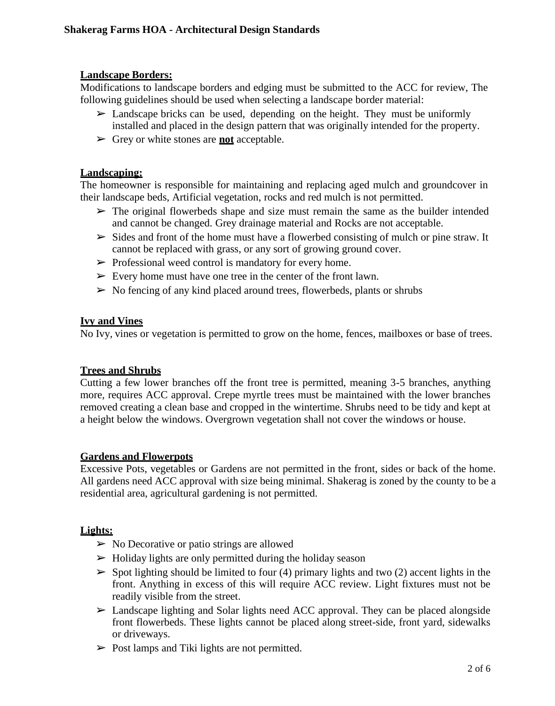## **Landscape Borders:**

Modifications to landscape borders and edging must be submitted to the ACC for review, The following guidelines should be used when selecting a landscape border material:

- $\geq$  Landscape bricks can be used, depending on the height. They must be uniformly installed and placed in the design pattern that was originally intended for the property.
- ➢ Grey or white stones are **not** acceptable.

## **Landscaping:**

The homeowner is responsible for maintaining and replacing aged mulch and groundcover in their landscape beds, Artificial vegetation, rocks and red mulch is not permitted.

- $\triangleright$  The original flowerbeds shape and size must remain the same as the builder intended and cannot be changed. Grey drainage material and Rocks are not acceptable.
- $\triangleright$  Sides and front of the home must have a flowerbed consisting of mulch or pine straw. It cannot be replaced with grass, or any sort of growing ground cover.
- $\triangleright$  Professional weed control is mandatory for every home.
- $\triangleright$  Every home must have one tree in the center of the front lawn.
- $\triangleright$  No fencing of any kind placed around trees, flowerbeds, plants or shrubs

## **Ivy and Vines**

No Ivy, vines or vegetation is permitted to grow on the home, fences, mailboxes or base of trees.

# **Trees and Shrubs**

Cutting a few lower branches off the front tree is permitted, meaning 3-5 branches, anything more, requires ACC approval. Crepe myrtle trees must be maintained with the lower branches removed creating a clean base and cropped in the wintertime. Shrubs need to be tidy and kept at a height below the windows. Overgrown vegetation shall not cover the windows or house.

# **Gardens and Flowerpots**

Excessive Pots, vegetables or Gardens are not permitted in the front, sides or back of the home. All gardens need ACC approval with size being minimal. Shakerag is zoned by the county to be a residential area, agricultural gardening is not permitted.

# **Lights:**

- $\triangleright$  No Decorative or patio strings are allowed
- $\triangleright$  Holiday lights are only permitted during the holiday season
- $\triangleright$  Spot lighting should be limited to four (4) primary lights and two (2) accent lights in the front. Anything in excess of this will require ACC review. Light fixtures must not be readily visible from the street.
- $\triangleright$  Landscape lighting and Solar lights need ACC approval. They can be placed alongside front flowerbeds. These lights cannot be placed along street-side, front yard, sidewalks or driveways.
- $\triangleright$  Post lamps and Tiki lights are not permitted.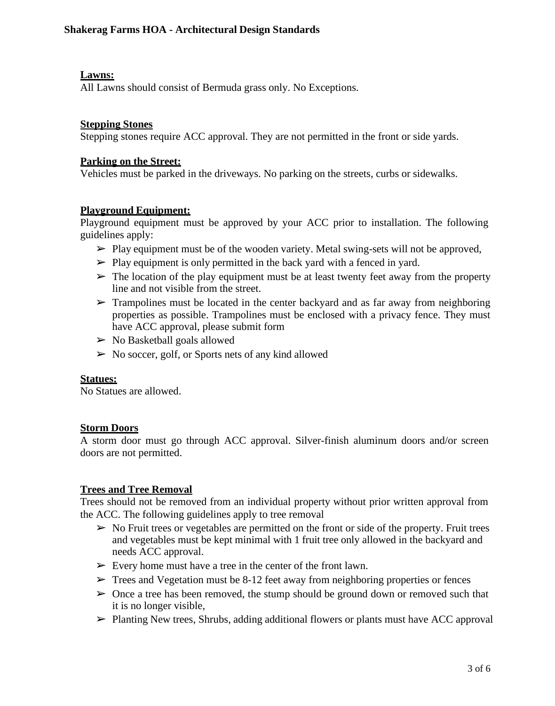## **Lawns:**

All Lawns should consist of Bermuda grass only. No Exceptions.

#### **Stepping Stones**

Stepping stones require ACC approval. They are not permitted in the front or side yards.

#### **Parking on the Street:**

Vehicles must be parked in the driveways. No parking on the streets, curbs or sidewalks.

#### **Playground Equipment:**

Playground equipment must be approved by your ACC prior to installation. The following guidelines apply:

- $\triangleright$  Play equipment must be of the wooden variety. Metal swing-sets will not be approved,
- $\triangleright$  Play equipment is only permitted in the back yard with a fenced in yard.
- $\triangleright$  The location of the play equipment must be at least twenty feet away from the property line and not visible from the street.
- $\triangleright$  Trampolines must be located in the center backyard and as far away from neighboring properties as possible. Trampolines must be enclosed with a privacy fence. They must have ACC approval, please submit form
- $\triangleright$  No Basketball goals allowed
- $\triangleright$  No soccer, golf, or Sports nets of any kind allowed

#### **Statues:**

No Statues are allowed.

#### **Storm Doors**

A storm door must go through ACC approval. Silver-finish aluminum doors and/or screen doors are not permitted.

## **Trees and Tree Removal**

Trees should not be removed from an individual property without prior written approval from the ACC. The following guidelines apply to tree removal

- $\triangleright$  No Fruit trees or vegetables are permitted on the front or side of the property. Fruit trees and vegetables must be kept minimal with 1 fruit tree only allowed in the backyard and needs ACC approval.
- $\triangleright$  Every home must have a tree in the center of the front lawn.
- $\triangleright$  Trees and Vegetation must be 8-12 feet away from neighboring properties or fences
- $\geq 0$  once a tree has been removed, the stump should be ground down or removed such that it is no longer visible,
- $\triangleright$  Planting New trees, Shrubs, adding additional flowers or plants must have ACC approval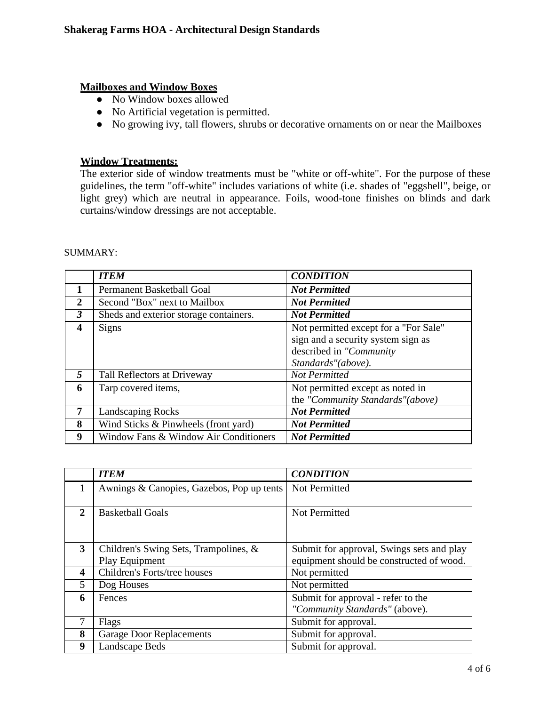#### **Mailboxes and Window Boxes**

- No Window boxes allowed
- No Artificial vegetation is permitted.
- No growing ivy, tall flowers, shrubs or decorative ornaments on or near the Mailboxes

## **Window Treatments:**

The exterior side of window treatments must be "white or off-white". For the purpose of these guidelines, the term "off-white" includes variations of white (i.e. shades of "eggshell", beige, or light grey) which are neutral in appearance. Foils, wood-tone finishes on blinds and dark curtains/window dressings are not acceptable.

|                  | <b>ITEM</b>                            | <b>CONDITION</b>                                                                                                             |
|------------------|----------------------------------------|------------------------------------------------------------------------------------------------------------------------------|
|                  | Permanent Basketball Goal              | <b>Not Permitted</b>                                                                                                         |
| 2                | Second "Box" next to Mailbox           | <b>Not Permitted</b>                                                                                                         |
| $\mathfrak{Z}$   | Sheds and exterior storage containers. | <b>Not Permitted</b>                                                                                                         |
| $\boldsymbol{4}$ | Signs                                  | Not permitted except for a "For Sale"<br>sign and a security system sign as<br>described in "Community<br>Standards"(above). |
| 5                | Tall Reflectors at Driveway            | <b>Not Permitted</b>                                                                                                         |
| 6                | Tarp covered items,                    | Not permitted except as noted in<br>the "Community Standards"(above)                                                         |
|                  | <b>Landscaping Rocks</b>               | <b>Not Permitted</b>                                                                                                         |
| 8                | Wind Sticks & Pinwheels (front yard)   | <b>Not Permitted</b>                                                                                                         |
| 9                | Window Fans & Window Air Conditioners  | <b>Not Permitted</b>                                                                                                         |

#### SUMMARY:

|   | <b>ITEM</b>                                             | <b>CONDITION</b>                                                                      |
|---|---------------------------------------------------------|---------------------------------------------------------------------------------------|
| 1 | Awnings & Canopies, Gazebos, Pop up tents               | Not Permitted                                                                         |
| 2 | <b>Basketball Goals</b>                                 | Not Permitted                                                                         |
| 3 | Children's Swing Sets, Trampolines, &<br>Play Equipment | Submit for approval, Swings sets and play<br>equipment should be constructed of wood. |
| 4 | Children's Forts/tree houses                            | Not permitted                                                                         |
| 5 | Dog Houses                                              | Not permitted                                                                         |
| 6 | Fences                                                  | Submit for approval - refer to the<br>"Community Standards" (above).                  |
| 7 | Flags                                                   | Submit for approval.                                                                  |
| 8 | <b>Garage Door Replacements</b>                         | Submit for approval.                                                                  |
| 9 | Landscape Beds                                          | Submit for approval.                                                                  |